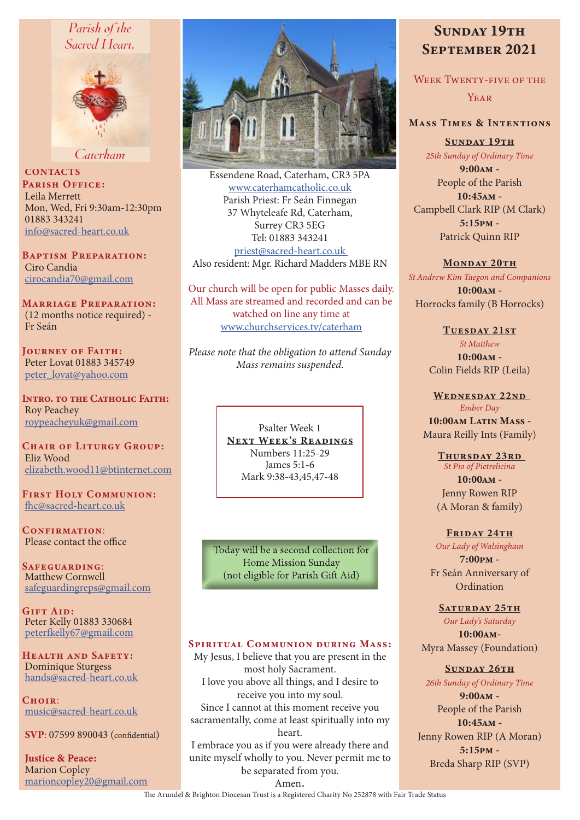## Parish of the Sacred Heart.



Caterham

**CONTACTS** PARISH OFFICE: Leila Merrett Mon, Wed, Fri 9:30am-12:30pm 01883 343241 info@sacred-heart.co.uk

Baptism Preparation: Ciro Candia cirocandia70@gmail.com

Marriage Preparation: (12 months notice required) - Fr Seán

Journey of Faith: Peter Lovat 01883 345749 peter\_lovat@yahoo.com

Intro. to the Catholic Faith: Roy Peachey roypeacheyuk@gmail.com

CHAIR OF LITURGY GROUP: Eliz Wood elizabeth.wood11@btinternet.com

First Holy Communion: fhc@sacred-heart.co.uk

CONFIRMATION: Please contact the office

Safeguarding: Matthew Cornwell safeguardingreps@gmail.com

GIFT AID: Peter Kelly 01883 330684 peterfkelly67@gmail.com

HEALTH AND SAFETY: Dominique Sturgess hands@sacred-heart.co.uk

 $C$ HOIR: music@sacred-heart.co.uk

SVP: 07599 890043 (confidential)

Justice & Peace: Marion Copley marioncopley20@gmail.com



Essendene Road, Caterham, CR3 5PA www.caterhamcatholic.co.uk Parish Priest: Fr Seán Finnegan 37 Whyteleafe Rd, Caterham, Surrey CR3 5EG Tel: 01883 343241 priest@sacred-heart.co.uk Also resident: Mgr. Richard Madders MBE RN

Our church will be open for public Masses daily. All Mass are streamed and recorded and can be watched on line any time at www.churchservices.tv/caterham

*Please note that the obligation to attend Sunday Mass remains suspended.*

> Psalter Week 1 NEXT WEEK'S READINGS Numbers 11:25-29 James 5:1-6 Mark 9:38-43,45,47-48

Today will be a second collection for Home Mission Sunday (not eligible for Parish Gift Aid)

#### SPIRITUAL COMMUNION DURING MASS:

My Jesus, I believe that you are present in the most holy Sacrament. I love you above all things, and I desire to receive you into my soul. Since I cannot at this moment receive you sacramentally, come at least spiritually into my heart. I embrace you as if you were already there and

unite myself wholly to you. Never permit me to be separated from you.

# SUNDAY 19TH September 2021

WEEK TWENTY-FIVE OF THE

**YEAR** 

## Mass Times & Intentions

SUNDAY 19TH *25th Sunday of Ordinary Time*

9:00am - People of the Parish 10:45am - Campbell Clark RIP (M Clark) 5:15pm - Patrick Quinn RIP

#### MONDAY 20TH

*St Andrew Kim Taegon and Companions* 10:00am - Horrocks family (B Horrocks)

TUESDAY 21ST

*St Matthew*  $10:00$  $\Delta M -$ Colin Fields RIP (Leila)

WEDNESDAY 22ND *Ember Day* 10:00am Latin Mass - Maura Reilly Ints (Family)

> THURSDAY 23RD *St Pio of Pietrelicina*  $10:00AM -$ Jenny Rowen RIP (A Moran & family)

FRIDAY 24TH *Our Lady of Walsingham* 7:00pm - Fr Seán Anniversary of Ordination

#### SATURDAY 25TH

*Our Lady's Saturday* 10:00am-Myra Massey (Foundation)

SUNDAY 26TH

*26th Sunday of Ordinary Time* 9:00am -

People of the Parish 10:45am - Jenny Rowen RIP (A Moran) 5:15pm - Breda Sharp RIP (SVP)

Amen.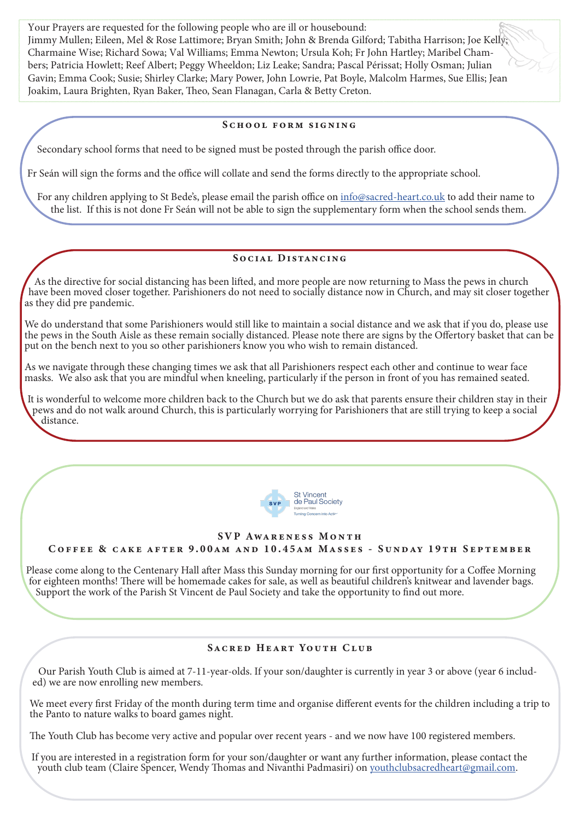Your Prayers are requested for the following people who are ill or housebound: Jimmy Mullen; Eileen, Mel & Rose Lattimore; Bryan Smith; John & Brenda Gilford; Tabitha Harrison; Joe Kelly; Charmaine Wise; Richard Sowa; Val Williams; Emma Newton; Ursula Koh; Fr John Hartley; Maribel Chambers; Patricia Howlett; Reef Albert; Peggy Wheeldon; Liz Leake; Sandra; Pascal Périssat; Holly Osman; Julian Gavin; Emma Cook; Susie; Shirley Clarke; Mary Power, John Lowrie, Pat Boyle, Malcolm Harmes, Sue Ellis; Jean Joakim, Laura Brighten, Ryan Baker, Theo, Sean Flanagan, Carla & Betty Creton.

#### SCHOOL FORM SIGNING

Secondary school forms that need to be signed must be posted through the parish office door.

Fr Seán will sign the forms and the office will collate and send the forms directly to the appropriate school.

For any children applying to St Bede's, please email the parish office on info@sacred-heart.co.uk to add their name to the list. If this is not done Fr Seán will not be able to sign the supplementary form when the school sends them.

## SOCIAL DISTANCING

As the directive for social distancing has been lifted, and more people are now returning to Mass the pews in church have been moved closer together. Parishioners do not need to socially distance now in Church, and may sit closer together as they did pre pandemic.

We do understand that some Parishioners would still like to maintain a social distance and we ask that if you do, please use the pews in the South Aisle as these remain socially distanced. Please note there are signs by the Offertory basket that can be put on the bench next to you so other parishioners know you who wish to remain distanced.

As we navigate through these changing times we ask that all Parishioners respect each other and continue to wear face masks. We also ask that you are mindful when kneeling, particularly if the person in front of you has remained seated.

It is wonderful to welcome more children back to the Church but we do ask that parents ensure their children stay in their pews and do not walk around Church, this is particularly worrying for Parishioners that are still trying to keep a social distance.



#### SVP AWARENESS MONTH

Coffee & cake after 9.00am and 10.45am Masses - Sunday 19th September

Please come along to the Centenary Hall after Mass this Sunday morning for our first opportunity for a Coffee Morning for eighteen months! There will be homemade cakes for sale, as well as beautiful children's knitwear and lavender bags. Support the work of the Parish St Vincent de Paul Society and take the opportunity to find out more.

## SACRED HEART YOUTH CLUB

Our Parish Youth Club is aimed at 7-11-year-olds. If your son/daughter is currently in year 3 or above (year 6 includ- ed) we are now enrolling new members.

We meet every first Friday of the month during term time and organise different events for the children including a trip to the Panto to nature walks to board games night.

The Youth Club has become very active and popular over recent years - and we now have 100 registered members.

If you are interested in a registration form for your son/daughter or want any further information, please contact the youth club team (Claire Spencer, Wendy Thomas and Nivanthi Padmasiri) on youthclubsacredheart@gmail.com.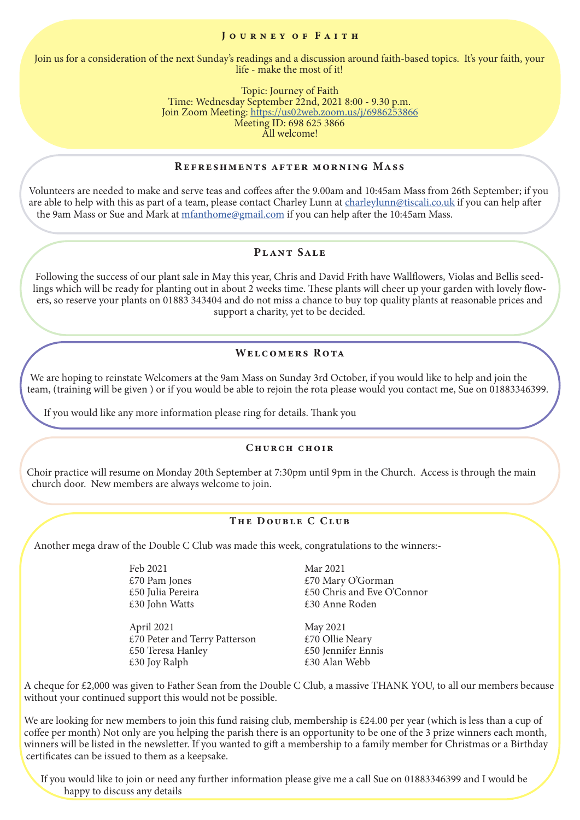#### JOURNEY OF FAITH

Join us for a consideration of the next Sunday's readings and a discussion around faith-based topics. It's your faith, your life - make the most of it!

> Topic: Journey of Faith Time: Wednesday September 22nd, 2021 8:00 - 9.30 p.m. Join Zoom Meeting: https://us02web.zoom.us/j/6986253866 Meeting ID: 698 625 3866 All welcome!

#### Refreshments after morning Mass

Volunteers are needed to make and serve teas and coffees after the 9.00am and 10:45am Mass from 26th September; if you are able to help with this as part of a team, please contact Charley Lunn at charleylunn@tiscali.co.uk if you can help after the 9am Mass or Sue and Mark at mfanthome@gmail.com if you can help after the 10:45am Mass.

## Plant Sale

Following the success of our plant sale in May this year, Chris and David Frith have Wallflowers, Violas and Bellis seedlings which will be ready for planting out in about 2 weeks time. These plants will cheer up your garden with lovely flowers, so reserve your plants on 01883 343404 and do not miss a chance to buy top quality plants at reasonable prices and support a charity, yet to be decided.

## WELCOMERS ROTA

We are hoping to reinstate Welcomers at the 9am Mass on Sunday 3rd October, if you would like to help and join the team, (training will be given ) or if you would be able to rejoin the rota please would you contact me, Sue on 01883346399.

If you would like any more information please ring for details. Thank you

#### Church choir

Choir practice will resume on Monday 20th September at 7:30pm until 9pm in the Church. Access is through the main church door. New members are always welcome to join.

#### THE DOUBLE C CLUB

Another mega draw of the Double C Club was made this week, congratulations to the winners:-

 Feb 2021 Mar 2021 £30 John Watts £30 Anne Roden

> April 2021 May 2021 £70 Peter and Terry Patterson  $£70$  Ollie Neary £50 Teresa Hanley  $£50$  Jennifer Ennis<br>£30 Iov Ralph  $£30$  Alan Webb  $£30$  Joy Ralph

£70 Pam Jones  $£70$  Mary O'Gorman  $£50$  Julia Pereira  $£50$  Chris and Eve O'  $£50$  Chris and Eve O'Connor

A cheque for £2,000 was given to Father Sean from the Double C Club, a massive THANK YOU, to all our members because without your continued support this would not be possible.

We are looking for new members to join this fund raising club, membership is £24.00 per year (which is less than a cup of coffee per month) Not only are you helping the parish there is an opportunity to be one of the 3 prize winners each month, winners will be listed in the newsletter. If you wanted to gift a membership to a family member for Christmas or a Birthday certificates can be issued to them as a keepsake.

If you would like to join or need any further information please give me a call Sue on 01883346399 and I would be happy to discuss any details